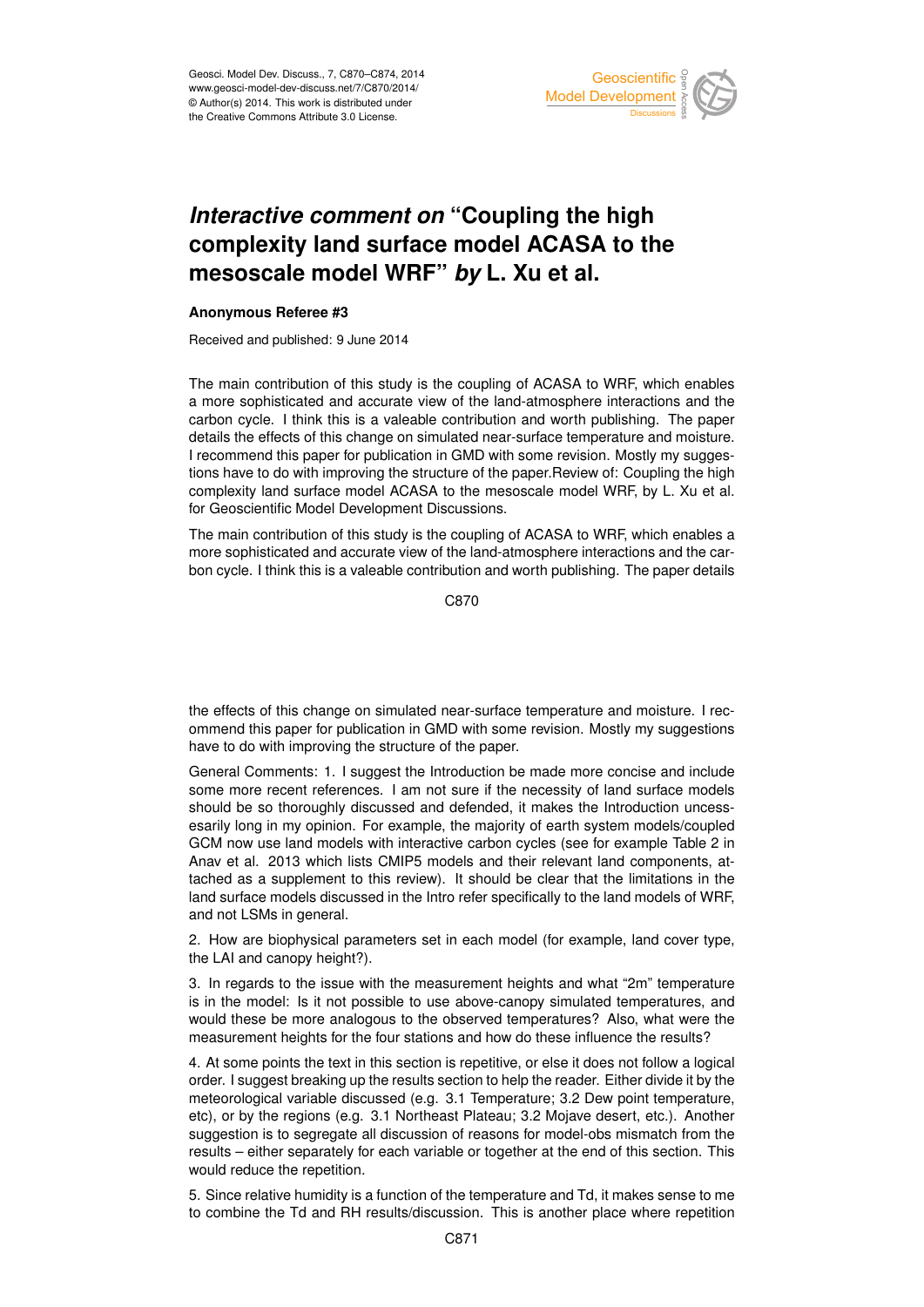

## *Interactive comment on* **"Coupling the high complexity land surface model ACASA to the mesoscale model WRF"** *by* **L. Xu et al.**

## **Anonymous Referee #3**

Received and published: 9 June 2014

The main contribution of this study is the coupling of ACASA to WRF, which enables a more sophisticated and accurate view of the land-atmosphere interactions and the carbon cycle. I think this is a valeable contribution and worth publishing. The paper details the effects of this change on simulated near-surface temperature and moisture. I recommend this paper for publication in GMD with some revision. Mostly my suggestions have to do with improving the structure of the paper.Review of: Coupling the high complexity land surface model ACASA to the mesoscale model WRF, by L. Xu et al. for Geoscientific Model Development Discussions.

The main contribution of this study is the coupling of ACASA to WRF, which enables a more sophisticated and accurate view of the land-atmosphere interactions and the carbon cycle. I think this is a valeable contribution and worth publishing. The paper details

C870

the effects of this change on simulated near-surface temperature and moisture. I recommend this paper for publication in GMD with some revision. Mostly my suggestions have to do with improving the structure of the paper.

General Comments: 1. I suggest the Introduction be made more concise and include some more recent references. I am not sure if the necessity of land surface models should be so thoroughly discussed and defended, it makes the Introduction uncessesarily long in my opinion. For example, the majority of earth system models/coupled GCM now use land models with interactive carbon cycles (see for example Table 2 in Anav et al. 2013 which lists CMIP5 models and their relevant land components, attached as a supplement to this review). It should be clear that the limitations in the land surface models discussed in the Intro refer specifically to the land models of WRF, and not LSMs in general.

2. How are biophysical parameters set in each model (for example, land cover type, the LAI and canopy height?).

3. In regards to the issue with the measurement heights and what "2m" temperature is in the model: Is it not possible to use above-canopy simulated temperatures, and would these be more analogous to the observed temperatures? Also, what were the measurement heights for the four stations and how do these influence the results?

4. At some points the text in this section is repetitive, or else it does not follow a logical order. I suggest breaking up the results section to help the reader. Either divide it by the meteorological variable discussed (e.g. 3.1 Temperature; 3.2 Dew point temperature, etc), or by the regions (e.g. 3.1 Northeast Plateau; 3.2 Mojave desert, etc.). Another suggestion is to segregate all discussion of reasons for model-obs mismatch from the results – either separately for each variable or together at the end of this section. This would reduce the repetition.

5. Since relative humidity is a function of the temperature and Td, it makes sense to me to combine the Td and RH results/discussion. This is another place where repetition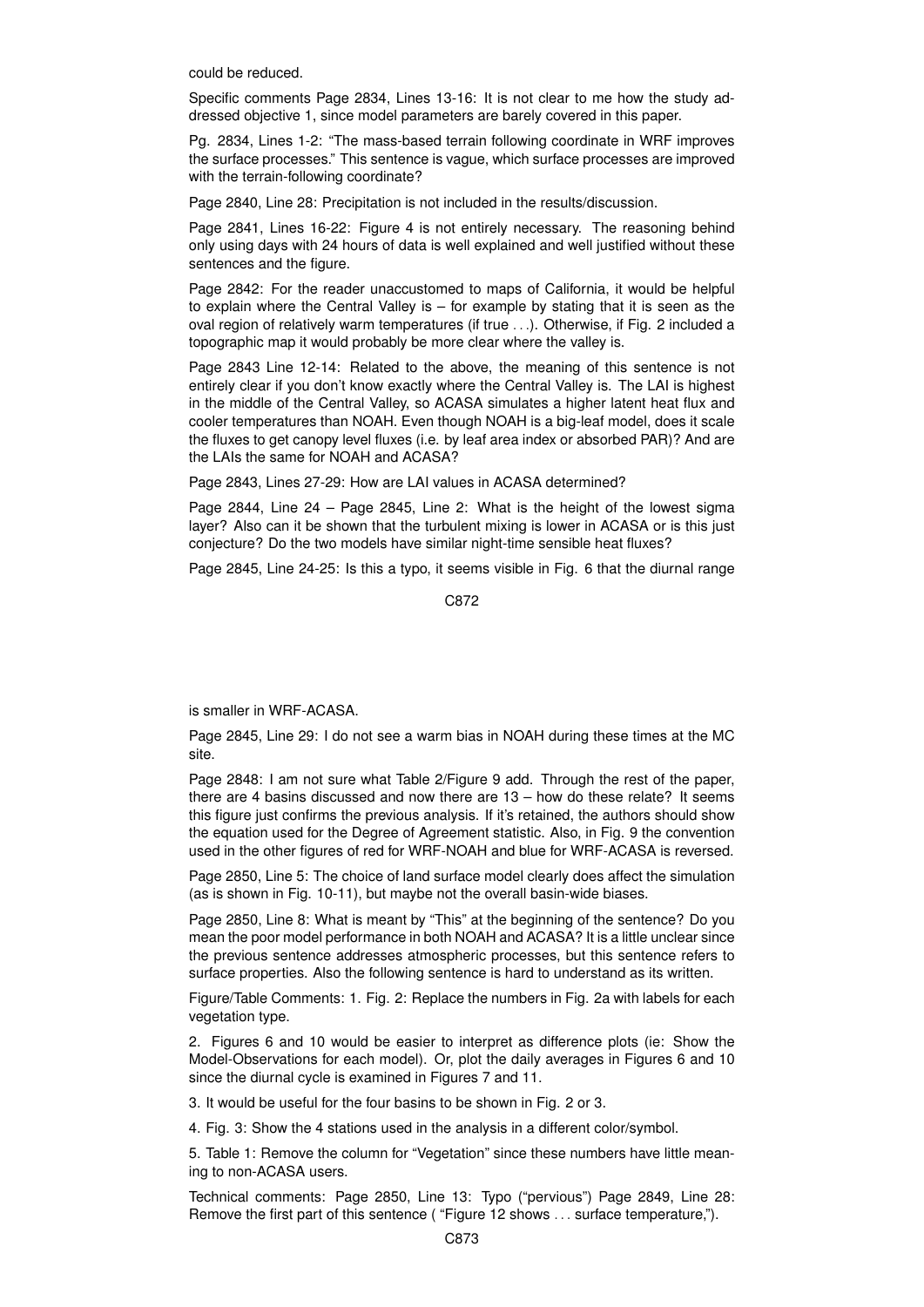could be reduced.

Specific comments Page 2834, Lines 13-16: It is not clear to me how the study addressed objective 1, since model parameters are barely covered in this paper.

Pg. 2834, Lines 1-2: "The mass-based terrain following coordinate in WRF improves the surface processes." This sentence is vague, which surface processes are improved with the terrain-following coordinate?

Page 2840, Line 28: Precipitation is not included in the results/discussion.

Page 2841, Lines 16-22: Figure 4 is not entirely necessary. The reasoning behind only using days with 24 hours of data is well explained and well justified without these sentences and the figure.

Page 2842: For the reader unaccustomed to maps of California, it would be helpful to explain where the Central Valley is – for example by stating that it is seen as the oval region of relatively warm temperatures (if true ...). Otherwise, if Fig. 2 included a topographic map it would probably be more clear where the valley is.

Page 2843 Line 12-14: Related to the above, the meaning of this sentence is not entirely clear if you don't know exactly where the Central Valley is. The LAI is highest in the middle of the Central Valley, so ACASA simulates a higher latent heat flux and cooler temperatures than NOAH. Even though NOAH is a big-leaf model, does it scale the fluxes to get canopy level fluxes (i.e. by leaf area index or absorbed PAR)? And are the LAIs the same for NOAH and ACASA?

Page 2843, Lines 27-29: How are LAI values in ACASA determined?

Page 2844, Line 24 – Page 2845, Line 2: What is the height of the lowest sigma layer? Also can it be shown that the turbulent mixing is lower in ACASA or is this just conjecture? Do the two models have similar night-time sensible heat fluxes?

Page 2845, Line 24-25: Is this a typo, it seems visible in Fig. 6 that the diurnal range

C872

is smaller in WRF-ACASA.

Page 2845, Line 29: I do not see a warm bias in NOAH during these times at the MC site.

Page 2848: I am not sure what Table 2/Figure 9 add. Through the rest of the paper, there are 4 basins discussed and now there are 13 – how do these relate? It seems this figure just confirms the previous analysis. If it's retained, the authors should show the equation used for the Degree of Agreement statistic. Also, in Fig. 9 the convention used in the other figures of red for WRF-NOAH and blue for WRF-ACASA is reversed.

Page 2850, Line 5: The choice of land surface model clearly does affect the simulation (as is shown in Fig. 10-11), but maybe not the overall basin-wide biases.

Page 2850, Line 8: What is meant by "This" at the beginning of the sentence? Do you mean the poor model performance in both NOAH and ACASA? It is a little unclear since the previous sentence addresses atmospheric processes, but this sentence refers to surface properties. Also the following sentence is hard to understand as its written.

Figure/Table Comments: 1. Fig. 2: Replace the numbers in Fig. 2a with labels for each vegetation type.

2. Figures 6 and 10 would be easier to interpret as difference plots (ie: Show the Model-Observations for each model). Or, plot the daily averages in Figures 6 and 10 since the diurnal cycle is examined in Figures 7 and 11.

3. It would be useful for the four basins to be shown in Fig. 2 or 3.

4. Fig. 3: Show the 4 stations used in the analysis in a different color/symbol.

5. Table 1: Remove the column for "Vegetation" since these numbers have little meaning to non-ACASA users.

Technical comments: Page 2850, Line 13: Typo ("pervious") Page 2849, Line 28: Remove the first part of this sentence ("Figure 12 shows ... surface temperature,").